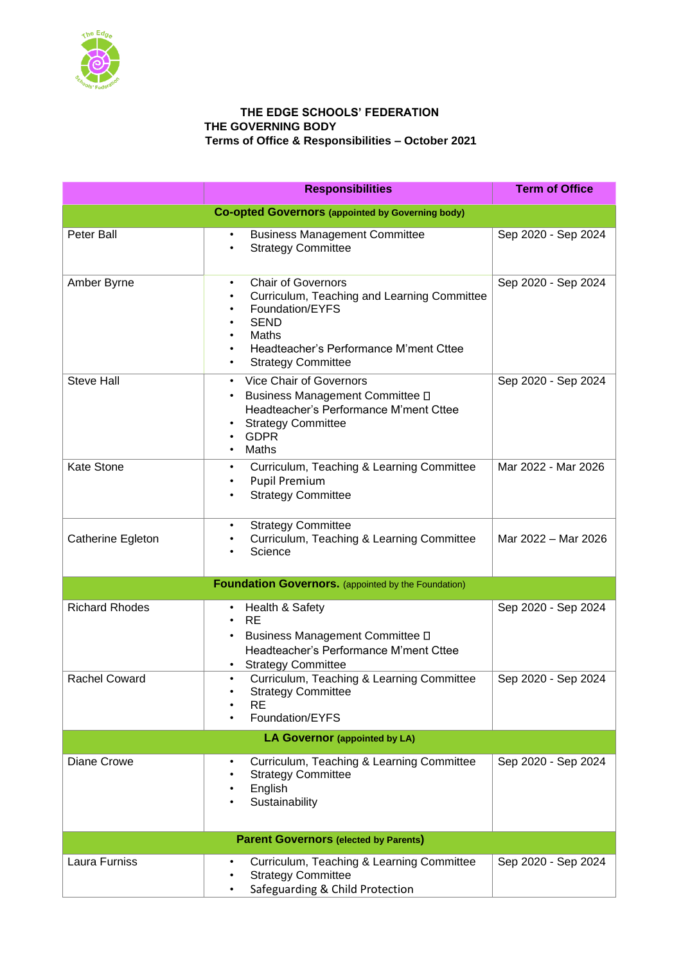

## **THE EDGE SCHOOLS' FEDERATION THE GOVERNING BODY Terms of Office & Responsibilities – October 2021**

|                                                         | <b>Responsibilities</b>                                                                                                                                                                                                           | <b>Term of Office</b> |  |  |
|---------------------------------------------------------|-----------------------------------------------------------------------------------------------------------------------------------------------------------------------------------------------------------------------------------|-----------------------|--|--|
| <b>Co-opted Governors (appointed by Governing body)</b> |                                                                                                                                                                                                                                   |                       |  |  |
| Peter Ball                                              | <b>Business Management Committee</b><br><b>Strategy Committee</b><br>$\bullet$                                                                                                                                                    | Sep 2020 - Sep 2024   |  |  |
| Amber Byrne                                             | <b>Chair of Governors</b><br>$\bullet$<br>Curriculum, Teaching and Learning Committee<br>Foundation/EYFS<br><b>SEND</b><br>Maths<br>$\bullet$<br>Headteacher's Performance M'ment Cttee<br><b>Strategy Committee</b><br>$\bullet$ | Sep 2020 - Sep 2024   |  |  |
| <b>Steve Hall</b>                                       | Vice Chair of Governors<br>$\bullet$<br>Business Management Committee D<br>Headteacher's Performance M'ment Cttee<br><b>Strategy Committee</b><br><b>GDPR</b><br>Maths                                                            | Sep 2020 - Sep 2024   |  |  |
| <b>Kate Stone</b>                                       | Curriculum, Teaching & Learning Committee<br>٠<br><b>Pupil Premium</b><br><b>Strategy Committee</b>                                                                                                                               | Mar 2022 - Mar 2026   |  |  |
| Catherine Egleton                                       | <b>Strategy Committee</b><br>$\bullet$<br>Curriculum, Teaching & Learning Committee<br>Science                                                                                                                                    | Mar 2022 - Mar 2026   |  |  |
|                                                         | <b>Foundation Governors.</b> (appointed by the Foundation)                                                                                                                                                                        |                       |  |  |
| <b>Richard Rhodes</b>                                   | Health & Safety<br>$\bullet$<br><b>RE</b><br>Business Management Committee D<br>Headteacher's Performance M'ment Cttee<br><b>Strategy Committee</b><br>$\bullet$                                                                  | Sep 2020 - Sep 2024   |  |  |
| <b>Rachel Coward</b>                                    | Curriculum, Teaching & Learning Committee<br>$\bullet$<br><b>Strategy Committee</b><br>RE<br>Foundation/EYFS                                                                                                                      | Sep 2020 - Sep 2024   |  |  |
| LA Governor (appointed by LA)                           |                                                                                                                                                                                                                                   |                       |  |  |
| Diane Crowe                                             | Curriculum, Teaching & Learning Committee<br><b>Strategy Committee</b><br>$\bullet$<br>English<br>Sustainability                                                                                                                  | Sep 2020 - Sep 2024   |  |  |
| <b>Parent Governors (elected by Parents)</b>            |                                                                                                                                                                                                                                   |                       |  |  |
| Laura Furniss                                           | Curriculum, Teaching & Learning Committee<br>٠<br><b>Strategy Committee</b><br>Safeguarding & Child Protection                                                                                                                    | Sep 2020 - Sep 2024   |  |  |